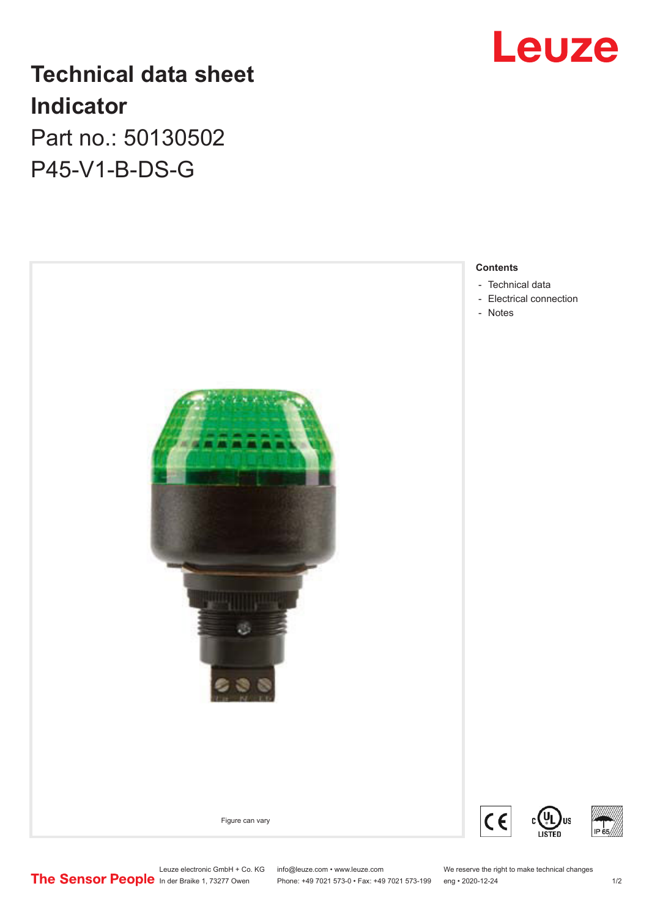

# **Technical data sheet Indicator** Part no.: 50130502

P45-V1-B-DS-G



Leuze electronic GmbH + Co. KG info@leuze.com • www.leuze.com We reserve the right to make technical changes<br> **The Sensor People** in der Braike 1, 73277 Owen Phone: +49 7021 573-0 • Fax: +49 7021 573-199 eng • 2020-12-24

Phone: +49 7021 573-0 • Fax: +49 7021 573-199 eng • 2020-12-24 1 2